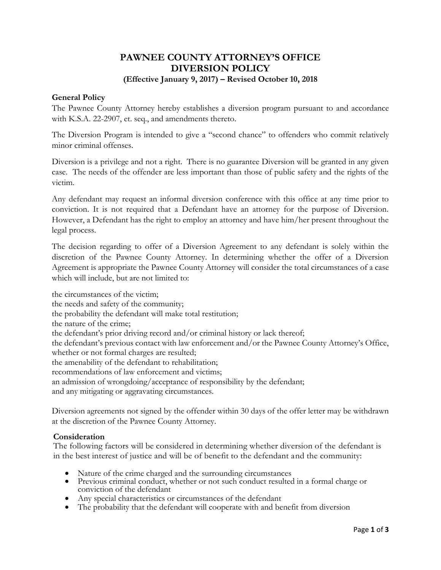# **PAWNEE COUNTY ATTORNEY'S OFFICE DIVERSION POLICY**

# **(Effective January 9, 2017) – Revised October 10, 2018**

# **General Policy**

The Pawnee County Attorney hereby establishes a diversion program pursuant to and accordance with K.S.A. 22-2907, et. seq., and amendments thereto.

The Diversion Program is intended to give a "second chance" to offenders who commit relatively minor criminal offenses.

Diversion is a privilege and not a right. There is no guarantee Diversion will be granted in any given case. The needs of the offender are less important than those of public safety and the rights of the victim.

Any defendant may request an informal diversion conference with this office at any time prior to conviction. It is not required that a Defendant have an attorney for the purpose of Diversion. However, a Defendant has the right to employ an attorney and have him/her present throughout the legal process.

The decision regarding to offer of a Diversion Agreement to any defendant is solely within the discretion of the Pawnee County Attorney. In determining whether the offer of a Diversion Agreement is appropriate the Pawnee County Attorney will consider the total circumstances of a case which will include, but are not limited to:

the circumstances of the victim; the needs and safety of the community; the probability the defendant will make total restitution; the nature of the crime; the defendant's prior driving record and/or criminal history or lack thereof; the defendant's previous contact with law enforcement and/or the Pawnee County Attorney's Office, whether or not formal charges are resulted; the amenability of the defendant to rehabilitation; recommendations of law enforcement and victims; an admission of wrongdoing/acceptance of responsibility by the defendant; and any mitigating or aggravating circumstances.

Diversion agreements not signed by the offender within 30 days of the offer letter may be withdrawn at the discretion of the Pawnee County Attorney.

### **Consideration**

The following factors will be considered in determining whether diversion of the defendant is in the best interest of justice and will be of benefit to the defendant and the community:

- Nature of the crime charged and the surrounding circumstances
- Previous criminal conduct, whether or not such conduct resulted in a formal charge or conviction of the defendant
- Any special characteristics or circumstances of the defendant
- The probability that the defendant will cooperate with and benefit from diversion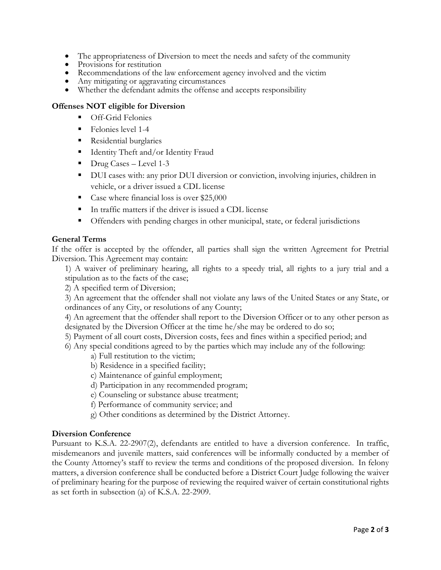- The appropriateness of Diversion to meet the needs and safety of the community
- Provisions for restitution
- Recommendations of the law enforcement agency involved and the victim
- Any mitigating or aggravating circumstances
- Whether the defendant admits the offense and accepts responsibility

# **Offenses NOT eligible for Diversion**

- Off-Grid Felonies
- Felonies level 1-4
- **Residential burglaries**
- Identity Theft and/or Identity Fraud
- $\blacksquare$  Drug Cases Level 1-3
- DUI cases with: any prior DUI diversion or conviction, involving injuries, children in vehicle, or a driver issued a CDL license
- Case where financial loss is over \$25,000
- In traffic matters if the driver is issued a CDL license
- **•** Offenders with pending charges in other municipal, state, or federal jurisdictions

# **General Terms**

If the offer is accepted by the offender, all parties shall sign the written Agreement for Pretrial Diversion. This Agreement may contain:

1) A waiver of preliminary hearing, all rights to a speedy trial, all rights to a jury trial and a stipulation as to the facts of the case;

2) A specified term of Diversion;

3) An agreement that the offender shall not violate any laws of the United States or any State, or ordinances of any City, or resolutions of any County;

4) An agreement that the offender shall report to the Diversion Officer or to any other person as designated by the Diversion Officer at the time he/she may be ordered to do so;

- 5) Payment of all court costs, Diversion costs, fees and fines within a specified period; and
- 6) Any special conditions agreed to by the parties which may include any of the following:
	- a) Full restitution to the victim;
	- b) Residence in a specified facility;
	- c) Maintenance of gainful employment;
	- d) Participation in any recommended program;
	- e) Counseling or substance abuse treatment;
	- f) Performance of community service; and
	- g) Other conditions as determined by the District Attorney.

# **Diversion Conference**

Pursuant to K.S.A. 22-2907(2), defendants are entitled to have a diversion conference. In traffic, misdemeanors and juvenile matters, said conferences will be informally conducted by a member of the County Attorney's staff to review the terms and conditions of the proposed diversion. In felony matters, a diversion conference shall be conducted before a District Court Judge following the waiver of preliminary hearing for the purpose of reviewing the required waiver of certain constitutional rights as set forth in subsection (a) of K.S.A. 22-2909.